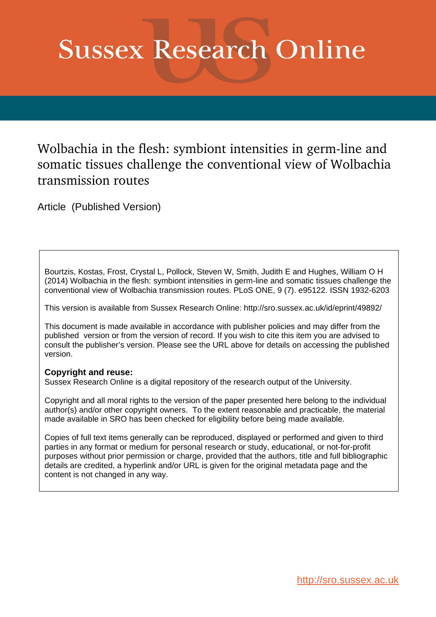# **Sussex Research Online**

Wolbachia in the flesh: symbiont intensities in germ-line and somatic tissues challenge the conventional view of Wolbachia transmission routes

Article (Published Version)

Bourtzis, Kostas, Frost, Crystal L, Pollock, Steven W, Smith, Judith E and Hughes, William O H (2014) Wolbachia in the flesh: symbiont intensities in germ-line and somatic tissues challenge the conventional view of Wolbachia transmission routes. PLoS ONE, 9 (7). e95122. ISSN 1932-6203

This version is available from Sussex Research Online: http://sro.sussex.ac.uk/id/eprint/49892/

This document is made available in accordance with publisher policies and may differ from the published version or from the version of record. If you wish to cite this item you are advised to consult the publisher's version. Please see the URL above for details on accessing the published version.

### **Copyright and reuse:**

Sussex Research Online is a digital repository of the research output of the University.

Copyright and all moral rights to the version of the paper presented here belong to the individual author(s) and/or other copyright owners. To the extent reasonable and practicable, the material made available in SRO has been checked for eligibility before being made available.

Copies of full text items generally can be reproduced, displayed or performed and given to third parties in any format or medium for personal research or study, educational, or not-for-profit purposes without prior permission or charge, provided that the authors, title and full bibliographic details are credited, a hyperlink and/or URL is given for the original metadata page and the content is not changed in any way.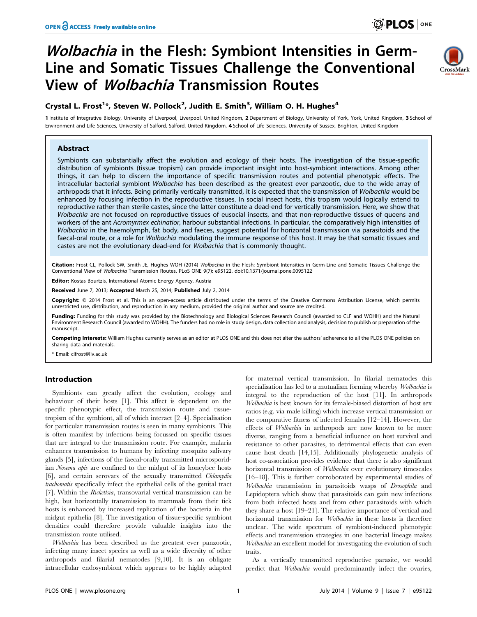# Wolbachia in the Flesh: Symbiont Intensities in Germ-Line and Somatic Tissues Challenge the Conventional View of Wolbachia Transmission Routes



## Crystal L. Frost<sup>1\*</sup>, Steven W. Pollock<sup>2</sup>, Judith E. Smith<sup>3</sup>, William O. H. Hughes<sup>4</sup>

1 Institute of Integrative Biology, University of Liverpool, Liverpool, United Kingdom, 2 Department of Biology, University of York, York, United Kingdom, 3 School of Environment and Life Sciences, University of Salford, Salford, United Kingdom, 4 School of Life Sciences, University of Sussex, Brighton, United Kingdom

#### Abstract

Symbionts can substantially affect the evolution and ecology of their hosts. The investigation of the tissue-specific distribution of symbionts (tissue tropism) can provide important insight into host-symbiont interactions. Among other things, it can help to discern the importance of specific transmission routes and potential phenotypic effects. The intracellular bacterial symbiont Wolbachia has been described as the greatest ever panzootic, due to the wide array of arthropods that it infects. Being primarily vertically transmitted, it is expected that the transmission of Wolbachia would be enhanced by focusing infection in the reproductive tissues. In social insect hosts, this tropism would logically extend to reproductive rather than sterile castes, since the latter constitute a dead-end for vertically transmission. Here, we show that Wolbachia are not focused on reproductive tissues of eusocial insects, and that non-reproductive tissues of queens and workers of the ant Acromyrmex echinatior, harbour substantial infections. In particular, the comparatively high intensities of Wolbachia in the haemolymph, fat body, and faeces, suggest potential for horizontal transmission via parasitoids and the faecal-oral route, or a role for Wolbachia modulating the immune response of this host. It may be that somatic tissues and castes are not the evolutionary dead-end for Wolbachia that is commonly thought.

Citation: Frost CL, Pollock SW, Smith JE, Hughes WOH (2014) Wolbachia in the Flesh: Symbiont Intensities in Germ-Line and Somatic Tissues Challenge the Conventional View of Wolbachia Transmission Routes. PLoS ONE 9(7): e95122. doi:10.1371/journal.pone.0095122

Editor: Kostas Bourtzis, International Atomic Energy Agency, Austria

Received June 7, 2013; Accepted March 25, 2014; Published July 2, 2014

Copyright: @ 2014 Frost et al. This is an open-access article distributed under the terms of the [Creative Commons Attribution License,](http://creativecommons.org/licenses/by/4.0/) which permits unrestricted use, distribution, and reproduction in any medium, provided the original author and source are credited.

Funding: Funding for this study was provided by the Biotechnology and Biological Sciences Research Council (awarded to CLF and WOHH) and the Natural Environment Research Council (awarded to WOHH). The funders had no role in study design, data collection and analysis, decision to publish or preparation of the manuscript.

Competing Interests: William Hughes currently serves as an editor at PLOS ONE and this does not alter the authors' adherence to all the PLOS ONE policies on sharing data and materials.

\* Email: clfrost@liv.ac.uk

#### Introduction

Symbionts can greatly affect the evolution, ecology and behaviour of their hosts [1]. This affect is dependent on the specific phenotypic effect, the transmission route and tissuetropism of the symbiont, all of which interact [2–4]. Specialisation for particular transmission routes is seen in many symbionts. This is often manifest by infections being focussed on specific tissues that are integral to the transmission route. For example, malaria enhances transmission to humans by infecting mosquito salivary glands [5], infections of the faecal-orally transmitted microsporidian Nosema apis are confined to the midgut of its honeybee hosts [6], and certain serovars of the sexually transmitted Chlamydia trachomatis specifically infect the epithelial cells of the genital tract [7]. Within the Rickettsia, transovarial vertical transmission can be high, but horizontally transmission to mammals from their tick hosts is enhanced by increased replication of the bacteria in the midgut epithelia [8]. The investigation of tissue-specific symbiont densities could therefore provide valuable insights into the transmission route utilised.

Wolbachia has been described as the greatest ever panzootic, infecting many insect species as well as a wide diversity of other arthropods and filarial nematodes [9,10]. It is an obligate intracellular endosymbiont which appears to be highly adapted

for maternal vertical transmission. In filarial nematodes this specialisation has led to a mutualism forming whereby Wolbachia is integral to the reproduction of the host [11]. In arthropods Wolbachia is best known for its female-biased distortion of host sex ratios (e.g. via male killing) which increase vertical transmission or the comparative fitness of infected females [12–14]. However, the effects of Wolbachia in arthropods are now known to be more diverse, ranging from a beneficial influence on host survival and resistance to other parasites, to detrimental effects that can even cause host death [14,15]. Additionally phylogenetic analysis of host co-association provides evidence that there is also significant horizontal transmission of Wolbachia over evolutionary timescales [16–18]. This is further corroborated by experimental studies of Wolbachia transmission in parasitoids wasps of Drosophila and Lepidoptera which show that parasitoids can gain new infections from both infected hosts and from other parasitoids with which they share a host [19–21]. The relative importance of vertical and horizontal transmission for Wolbachia in these hosts is therefore unclear. The wide spectrum of symbiont-induced phenotypic effects and transmission strategies in one bacterial lineage makes Wolbachia an excellent model for investigating the evolution of such traits.

As a vertically transmitted reproductive parasite, we would predict that Wolbachia would predominantly infect the ovaries,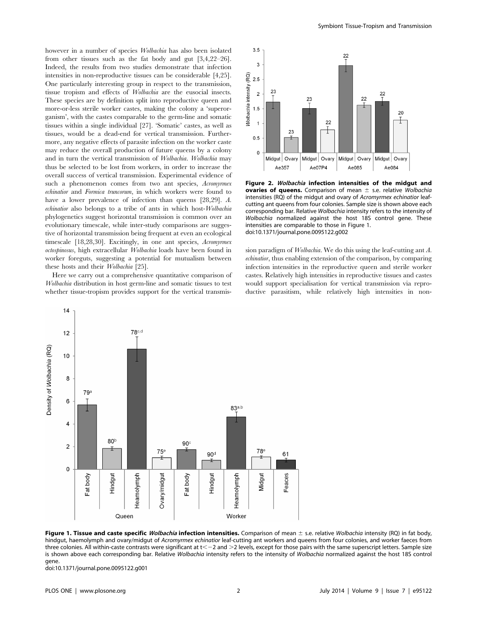however in a number of species Wolbachia has also been isolated from other tissues such as the fat body and gut [3,4,22–26]. Indeed, the results from two studies demonstrate that infection intensities in non-reproductive tissues can be considerable [4,25]. One particularly interesting group in respect to the transmission, tissue tropism and effects of Wolbachia are the eusocial insects. These species are by definition split into reproductive queen and more-or-less sterile worker castes, making the colony a 'superorganism', with the castes comparable to the germ-line and somatic tissues within a single individual [27]. 'Somatic' castes, as well as tissues, would be a dead-end for vertical transmission. Furthermore, any negative effects of parasite infection on the worker caste may reduce the overall production of future queens by a colony and in turn the vertical transmission of Wolbachia. Wolbachia may thus be selected to be lost from workers, in order to increase the overall success of vertical transmission. Experimental evidence of such a phenomenon comes from two ant species, Acromyrmex echinatior and Formica truncorum, in which workers were found to have a lower prevalence of infection than queens [28,29]. A. echinatior also belongs to a tribe of ants in which host-Wolbachia phylogenetics suggest horizontal transmission is common over an evolutionary timescale, while inter-study comparisons are suggestive of horizontal transmission being frequent at even an ecological timescale [18,28,30]. Excitingly, in one ant species, Acromyrmex octospinosus, high extracellular Wolbachia loads have been found in worker foreguts, suggesting a potential for mutualism between these hosts and their Wolbachia [25].

Here we carry out a comprehensive quantitative comparison of Wolbachia distribution in host germ-line and somatic tissues to test whether tissue-tropism provides support for the vertical transmis-



Figure 2. Wolbachia infection intensities of the midgut and ovaries of queens. Comparison of mean  $\pm$  s.e. relative Wolbachia intensities (RQ) of the midgut and ovary of Acromyrmex echinatior leafcutting ant queens from four colonies. Sample size is shown above each corresponding bar. Relative Wolbachia intensity refers to the intensity of Wolbachia normalized against the host 18S control gene. These intensities are comparable to those in Figure 1. doi:10.1371/journal.pone.0095122.g002

sion paradigm of Wolbachia. We do this using the leaf-cutting ant A. echinatior, thus enabling extension of the comparison, by comparing infection intensities in the reproductive queen and sterile worker castes. Relatively high intensities in reproductive tissues and castes would support specialisation for vertical transmission via reproductive parasitism, while relatively high intensities in non-



Figure 1. Tissue and caste specific Wolbachia infection intensities. Comparison of mean  $\pm$  s.e. relative Wolbachia intensity (RQ) in fat body, hindgut, haemolymph and ovary/midgut of Acromyrmex echinatior leaf-cutting ant workers and queens from four colonies, and worker faeces from three colonies. All within-caste contrasts were significant at  $t<-2$  and  $>2$  levels, except for those pairs with the same superscript letters. Sample size is shown above each corresponding bar. Relative Wolbachia intensity refers to the intensity of Wolbachia normalized against the host 18S control gene.

doi:10.1371/journal.pone.0095122.g001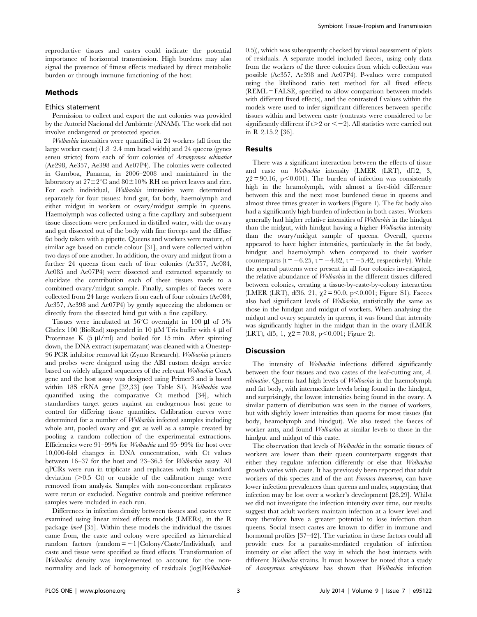reproductive tissues and castes could indicate the potential importance of horizontal transmission. High burdens may also signal the presence of fitness effects mediated by direct metabolic burden or through immune functioning of the host.

#### Methods

#### Ethics statement

Permission to collect and export the ant colonies was provided by the Autorid Nacional del Ambiente (ANAM). The work did not involve endangered or protected species.

Wolbachia intensities were quantified in 24 workers (all from the large worker caste) (1.8–2.4 mm head width) and 24 queens (gynes sensu stricto) from each of four colonies of Acromyrmex echinatior (Ae298, Ae357, Ae398 and Ae07P4). The colonies were collected in Gamboa, Panama, in 2006–2008 and maintained in the laboratory at  $27\pm2\degree C$  and  $80\pm10\%$  RH on privet leaves and rice. For each individual, Wolbachia intensities were determined separately for four tissues: hind gut, fat body, haemolymph and either midgut in workers or ovary/midgut sample in queens. Haemolymph was collected using a fine capillary and subsequent tissue dissections were performed in distilled water, with the ovary and gut dissected out of the body with fine forceps and the diffuse fat body taken with a pipette. Queens and workers were mature, of similar age based on cuticle colour [31], and were collected within two days of one another. In addition, the ovary and midgut from a further 24 queens from each of four colonies (Ae357, Ae084, Ae085 and Ae07P4) were dissected and extracted separately to elucidate the contribution each of these tissues made to a combined ovary/midgut sample. Finally, samples of faeces were collected from 24 large workers from each of four colonies (Ae084, Ae357, Ae398 and Ae07P4) by gently squeezing the abdomen or directly from the dissected hind gut with a fine capillary.

Tissues were incubated at  $56^{\circ}$ C overnight in 100 µl of 5% Chelex 100 (BioRad) suspended in 10  $\mu$ M Tris buffer with 4  $\mu$ l of Proteinase K  $(5 \mu l/ml)$  and boiled for 15 min. After spinning down, the DNA extract (supernatant) was cleaned with a Onestep-96 PCR inhibitor removal kit (Zymo Research). Wolbachia primers and probes were designed using the ABI custom design service based on widely aligned sequences of the relevant Wolbachia CoxA gene and the host assay was designed using Primer3 and is based within 18S rRNA gene [32,33] (see Table S1). Wolbachia was quantified using the comparative Ct method [34], which standardises target genes against an endogenous host gene to control for differing tissue quantities. Calibration curves were determined for a number of Wolbachia infected samples including whole ant, pooled ovary and gut as well as a sample created by pooling a random collection of the experimental extractions. Efficiencies were 91–99% for Wolbachia and 95–99% for host over 10,000-fold changes in DNA concentration, with Ct values between 16–37 for the host and 23–36.5 for Wolbachia assay. All qPCRs were run in triplicate and replicates with high standard deviation  $(>0.5 \text{ Ct})$  or outside of the calibration range were removed from analysis. Samples with non-concordant replicates were rerun or excluded. Negative controls and positive reference samples were included in each run.

Differences in infection density between tissues and castes were examined using linear mixed effects models (LMERs), in the R package lme4 [35]. Within these models the individual the tissues came from, the caste and colony were specified as hierarchical random factors (random  $= \sim 1$  | Colony/Caste/Individual), and caste and tissue were specified as fixed effects. Transformation of Wolbachia density was implemented to account for the nonnormality and lack of homogeneity of residuals (log(Wolbachia+ 0.5)), which was subsequently checked by visual assessment of plots of residuals. A separate model included faeces, using only data from the workers of the three colonies from which collection was possible (Ae357, Ae398 and Ae07P4). P-values were computed using the likelihood ratio test method for all fixed effects (REML = FALSE, specified to allow comparison between models with different fixed effects), and the contrasted f values within the models were used to infer significant differences between specific tissues within and between caste (contrasts were considered to be significantly different if t $>$ 2 or  $<-$ 2). All statistics were carried out in R 2.15.2 [36].

#### Results

There was a significant interaction between the effects of tissue and caste on Wolbachia intensity (LMER (LRT), df12, 3,  $\chi$ 2 = 90.16, p<0.001). The burden of infection was consistently high in the heamolymph, with almost a five-fold difference between this and the next most burdened tissue in queens and almost three times greater in workers (Figure 1). The fat body also had a significantly high burden of infection in both castes. Workers generally had higher relative intensities of Wolbachia in the hindgut than the midgut, with hindgut having a higher Wolbachia intensity than the ovary/midgut sample of queens. Overall, queens appeared to have higher intensities, particularly in the fat body, hindgut and haemolymph when compared to their worker counterparts ( $t = -6.25$ ,  $t = -4.82$ ,  $t = -5.42$ , respectively). While the general patterns were present in all four colonies investigated, the relative abundance of Wolbachia in the different tissues differed between colonies, creating a tissue-by-caste-by-colony interaction (LMER (LRT), df36, 21,  $\chi$ 2 = 90.0, p<0.001; Figure S1). Faeces also had significant levels of Wolbachia, statistically the same as those in the hindgut and midgut of workers. When analysing the midgut and ovary separately in queens, it was found that intensity was significantly higher in the midgut than in the ovary (LMER (LRT), df5, 1,  $\chi$ 2 = 70.8, p<0.001; Figure 2).

#### **Discussion**

The intensity of *Wolbachia* infections differed significantly between the four tissues and two castes of the leaf-cutting ant, A. echinatior. Queens had high levels of Wolbachia in the haemolymph and fat body, with intermediate levels being found in the hindgut, and surprisingly, the lowest intensities being found in the ovary. A similar pattern of distribution was seen in the tissues of workers, but with slightly lower intensities than queens for most tissues (fat body, heamolymph and hindgut). We also tested the faeces of worker ants, and found Wolbachia at similar levels to those in the hindgut and midgut of this caste.

The observation that levels of Wolbachia in the somatic tissues of workers are lower than their queen counterparts suggests that either they regulate infection differently or else that Wolbachia growth varies with caste. It has previously been reported that adult workers of this species and of the ant Formica truncorum, can have lower infection prevalences than queens and males, suggesting that infection may be lost over a worker's development [28,29]. Whilst we did not investigate the infection intensity over time, our results suggest that adult workers maintain infection at a lower level and may therefore have a greater potential to lose infection than queens. Social insect castes are known to differ in immune and hormonal profiles [37–42]. The variation in these factors could all provide cues for a parasite-mediated regulation of infection intensity or else affect the way in which the host interacts with different Wolbachia strains. It must however be noted that a study of Acromyrmex octospinosus has shown that Wolbachia infection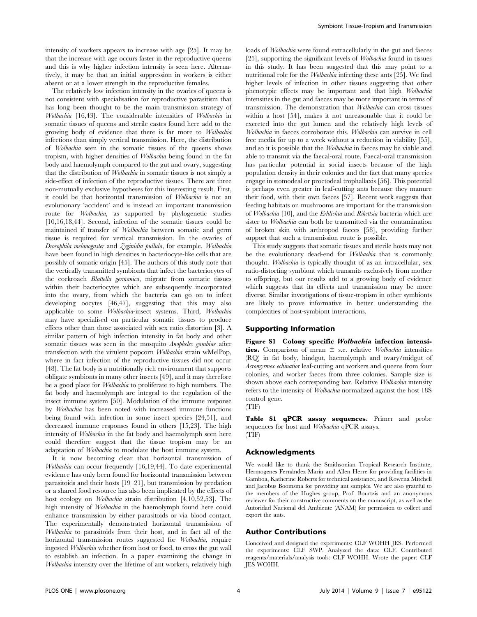intensity of workers appears to increase with age [25]. It may be that the increase with age occurs faster in the reproductive queens and this is why higher infection intensity is seen here. Alternatively, it may be that an initial suppression in workers is either absent or at a lower strength in the reproductive females.

The relatively low infection intensity in the ovaries of queens is not consistent with specialisation for reproductive parasitism that has long been thought to be the main transmission strategy of Wolbachia [16,43]. The considerable intensities of Wolbachia in somatic tissues of queens and sterile castes found here add to the growing body of evidence that there is far more to Wolbachia infections than simply vertical transmission. Here, the distribution of Wolbachia seen in the somatic tissues of the queens shows tropism, with higher densities of Wolbachia being found in the fat body and haemolymph compared to the gut and ovary, suggesting that the distribution of Wolbachia in somatic tissues is not simply a side-effect of infection of the reproductive tissues. There are three non-mutually exclusive hypotheses for this interesting result. First, it could be that horizontal transmission of Wolbachia is not an evolutionary 'accident' and is instead an important transmission route for Wolbachia, as supported by phylogenetic studies [10,16,18,44]. Second, infection of the somatic tissues could be maintained if transfer of Wolbachia between somatic and germ tissue is required for vertical transmission. In the ovaries of Drosophila melanogaster and Zyginidia pullula, for example, Wolbachia have been found in high densities in bacteriocyte-like cells that are possibly of somatic origin [45]. The authors of this study note that the vertically transmitted symbionts that infect the bacteriocytes of the cockroach Blattella germanica, migrate from somatic tissues within their bacteriocytes which are subsequently incorporated into the ovary, from which the bacteria can go on to infect developing oocytes [46,47], suggesting that this may also applicable to some Wolbachia-insect systems. Third, Wolbachia may have specialised on particular somatic tissues to produce effects other than those associated with sex ratio distortion [3]. A similar pattern of high infection intensity in fat body and other somatic tissues was seen in the mosquito Anopheles gambiae after transfection with the virulent popcorn Wolbachia strain wMelPop, where in fact infection of the reproductive tissues did not occur [48]. The fat body is a nutritionally rich environment that supports obligate symbionts in many other insects [49], and it may therefore be a good place for Wolbachia to proliferate to high numbers. The fat body and haemolymph are integral to the regulation of the insect immune system [50]. Modulation of the immune response by Wolbachia has been noted with increased immune functions being found with infection in some insect species [24,51], and decreased immune responses found in others [15,23]. The high intensity of Wolbachia in the fat body and haemolymph seen here could therefore suggest that the tissue tropism may be an adaptation of Wolbachia to modulate the host immune system.

It is now becoming clear that horizontal transmission of Wolbachia can occur frequently [16,19,44]. To date experimental evidence has only been found for horizontal transmission between parasitoids and their hosts [19–21], but transmission by predation or a shared food resource has also been implicated by the effects of host ecology on Wolbachia strain distribution [4,10,52,53]. The high intensity of *Wolbachia* in the haemolymph found here could enhance transmission by either parasitoids or via blood contact. The experimentally demonstrated horizontal transmission of Wolbachia to parasitoids from their host, and in fact all of the horizontal transmission routes suggested for Wolbachia, require ingested Wolbachia whether from host or food, to cross the gut wall to establish an infection. In a paper examining the change in Wolbachia intensity over the lifetime of ant workers, relatively high

loads of Wolbachia were found extracellularly in the gut and faeces [25], supporting the significant levels of *Wolbachia* found in tissues in this study. It has been suggested that this may point to a nutritional role for the Wolbachia infecting these ants [25]. We find higher levels of infection in other tissues suggesting that other phenotypic effects may be important and that high Wolbachia intensities in the gut and faeces may be more important in terms of transmission. The demonstration that Wolbachia can cross tissues within a host [54], makes it not unreasonable that it could be excreted into the gut lumen and the relatively high levels of Wolbachia in faeces corroborate this. Wolbachia can survive in cell free media for up to a week without a reduction in viability [55], and so it is possible that the Wolbachia in faeces may be viable and able to transmit via the faecal-oral route. Faecal-oral transmission has particular potential in social insects because of the high population density in their colonies and the fact that many species engage in stomodeal or proctodeal trophallaxis [56]. This potential is perhaps even greater in leaf-cutting ants because they manure their food, with their own faeces [57]. Recent work suggests that feeding habitats on mushrooms are important for the transmission of Wolbachia [10], and the Erhlichia and Rikettsia bacteria which are sister to Wolbachia can both be transmitted via the contamination of broken skin with arthropod faeces [58], providing further support that such a transmission route is possible.

This study suggests that somatic tissues and sterile hosts may not be the evolutionary dead-end for Wolbachia that is commonly thought. Wolbachia is typically thought of as an intracellular, sex ratio-distorting symbiont which transmits exclusively from mother to offspring, but our results add to a growing body of evidence which suggests that its effects and transmission may be more diverse. Similar investigations of tissue-tropism in other symbionts are likely to prove informative in better understanding the complexities of host-symbiont interactions.

#### Supporting Information

Figure S1 Colony specific Wolbachia infection intensities. Comparison of mean  $\pm$  s.e. relative *Wolbachia* intensities (RQ) in fat body, hindgut, haemolymph and ovary/midgut of Acromyrmex echinatior leaf-cutting ant workers and queens from four colonies, and worker faeces from three colonies. Sample size is shown above each corresponding bar. Relative Wolbachia intensity refers to the intensity of Wolbachia normalized against the host 18S control gene. (TIF)

Table S1 qPCR assay sequences. Primer and probe sequences for host and *Wolbachia* qPCR assays. (TIF)

#### Acknowledgments

We would like to thank the Smithsonian Tropical Research Institute, Hermogenes Fernández-Marín and Allen Herre for providing facilities in Gamboa, Katherine Roberts for technical assistance, and Rowena Mitchell and Jacobus Boomsma for providing ant samples. We are also grateful to the members of the Hughes group, Prof. Bourtzis and an anonymous reviewer for their constructive comments on the manuscript, as well as the Autoridad Nacional del Ambiente (ANAM) for permission to collect and export the ants.

#### Author Contributions

Conceived and designed the experiments: CLF WOHH JES. Performed the experiments: CLF SWP. Analyzed the data: CLF. Contributed reagents/materials/analysis tools: CLF WOHH. Wrote the paper: CLF **IES WOHH.**